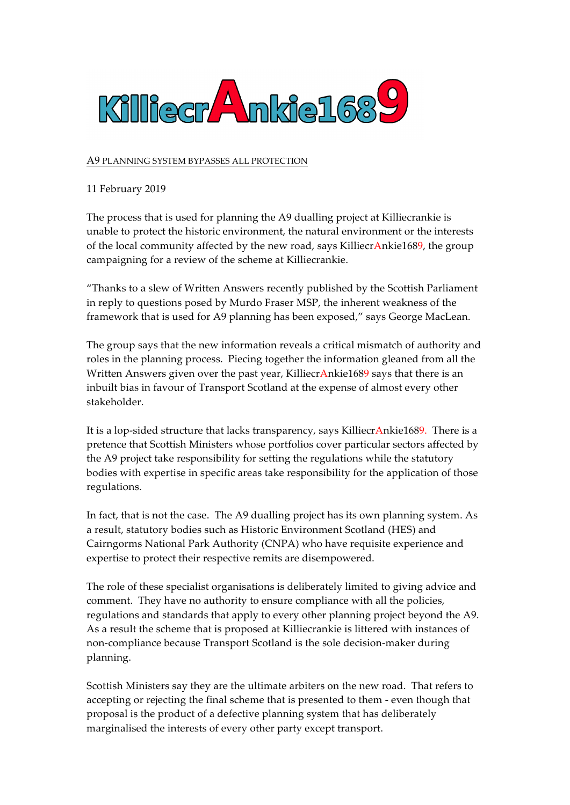

## A9 PLANNING SYSTEM BYPASSES ALL PROTECTION

## 11 February 2019

The process that is used for planning the A9 dualling project at Killiecrankie is unable to protect the historic environment, the natural environment or the interests of the local community affected by the new road, says KilliecrAnkie1689, the group campaigning for a review of the scheme at Killiecrankie.

"Thanks to a slew of Written Answers recently published by the Scottish Parliament in reply to questions posed by Murdo Fraser MSP, the inherent weakness of the framework that is used for A9 planning has been exposed," says George MacLean.

The group says that the new information reveals a critical mismatch of authority and roles in the planning process. Piecing together the information gleaned from all the Written Answers given over the past year, KilliecrAnkie1689 says that there is an inbuilt bias in favour of Transport Scotland at the expense of almost every other stakeholder.

It is a lop-sided structure that lacks transparency, says KilliecrAnkie1689. There is a pretence that Scottish Ministers whose portfolios cover particular sectors affected by the A9 project take responsibility for setting the regulations while the statutory bodies with expertise in specific areas take responsibility for the application of those regulations.

In fact, that is not the case. The A9 dualling project has its own planning system. As a result, statutory bodies such as Historic Environment Scotland (HES) and Cairngorms National Park Authority (CNPA) who have requisite experience and expertise to protect their respective remits are disempowered.

The role of these specialist organisations is deliberately limited to giving advice and comment. They have no authority to ensure compliance with all the policies, regulations and standards that apply to every other planning project beyond the A9. As a result the scheme that is proposed at Killiecrankie is littered with instances of non-compliance because Transport Scotland is the sole decision-maker during planning.

Scottish Ministers say they are the ultimate arbiters on the new road. That refers to accepting or rejecting the final scheme that is presented to them - even though that proposal is the product of a defective planning system that has deliberately marginalised the interests of every other party except transport.